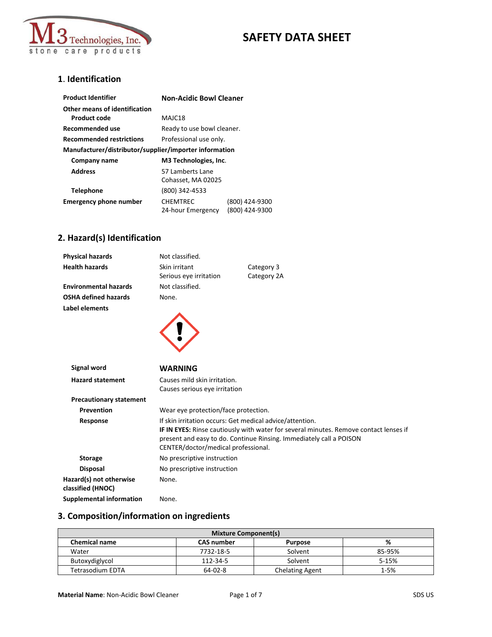

### **1**. **Identification**

| <b>Product Identifier</b>                              | <b>Non-Acidic Bowl Cleaner</b>       |                                  |
|--------------------------------------------------------|--------------------------------------|----------------------------------|
| Other means of identification                          |                                      |                                  |
| Product code                                           | MAJC18                               |                                  |
| <b>Recommended use</b>                                 | Ready to use bowl cleaner.           |                                  |
| <b>Recommended restrictions</b>                        | Professional use only.               |                                  |
| Manufacturer/distributor/supplier/importer information |                                      |                                  |
| Company name                                           | M3 Technologies, Inc.                |                                  |
| <b>Address</b>                                         | 57 Lamberts Lane                     |                                  |
|                                                        | Cohasset, MA 02025                   |                                  |
| Telephone                                              | (800) 342-4533                       |                                  |
| <b>Emergency phone number</b>                          | <b>CHEMTREC</b><br>24-hour Emergency | (800) 424-9300<br>(800) 424-9300 |

## **2. Hazard(s) Identification**

| <b>Physical hazards</b>                      | Not classified.                                                                                                                                                                                                                                                 |             |
|----------------------------------------------|-----------------------------------------------------------------------------------------------------------------------------------------------------------------------------------------------------------------------------------------------------------------|-------------|
| <b>Health hazards</b>                        | Skin irritant                                                                                                                                                                                                                                                   | Category 3  |
|                                              | Serious eye irritation                                                                                                                                                                                                                                          | Category 2A |
| <b>Environmental hazards</b>                 | Not classified.                                                                                                                                                                                                                                                 |             |
| <b>OSHA defined hazards</b>                  | None.                                                                                                                                                                                                                                                           |             |
| Label elements                               |                                                                                                                                                                                                                                                                 |             |
|                                              |                                                                                                                                                                                                                                                                 |             |
| <b>Signal word</b>                           | <b>WARNING</b>                                                                                                                                                                                                                                                  |             |
| <b>Hazard statement</b>                      | Causes mild skin irritation.                                                                                                                                                                                                                                    |             |
|                                              | Causes serious eye irritation                                                                                                                                                                                                                                   |             |
| <b>Precautionary statement</b>               |                                                                                                                                                                                                                                                                 |             |
| Prevention                                   | Wear eye protection/face protection.                                                                                                                                                                                                                            |             |
| Response                                     | If skin irritation occurs: Get medical advice/attention.<br>IF IN EYES: Rinse cautiously with water for several minutes. Remove contact lenses if<br>present and easy to do. Continue Rinsing. Immediately call a POISON<br>CENTER/doctor/medical professional. |             |
| <b>Storage</b>                               | No prescriptive instruction                                                                                                                                                                                                                                     |             |
| <b>Disposal</b>                              | No prescriptive instruction                                                                                                                                                                                                                                     |             |
| Hazard(s) not otherwise<br>classified (HNOC) | None.                                                                                                                                                                                                                                                           |             |
| <b>Supplemental information</b>              | None.                                                                                                                                                                                                                                                           |             |

## **3. Composition/information on ingredients**

| <b>Mixture Component(s)</b> |                   |                        |          |
|-----------------------------|-------------------|------------------------|----------|
| <b>Chemical name</b>        | <b>CAS number</b> | <b>Purpose</b>         | %        |
| Water                       | 7732-18-5         | Solvent                | 85-95%   |
| Butoxydiglycol              | 112-34-5          | Solvent                | 5-15%    |
| Tetrasodium EDTA            | 64-02-8           | <b>Chelating Agent</b> | $1 - 5%$ |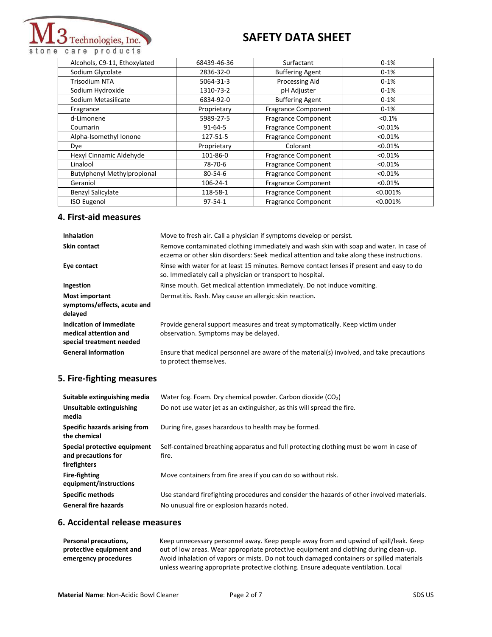

Alcohols, C9-11, Ethoxylated 68439-46-36 Surfactant 0-1%<br>
Sodium Glycolate 2836-32-0 Buffering Agent 0-1% Sodium Glycolate 2836-32-0 Buffering Agent Trisodium NTA  $\vert$  5064-31-3 Processing Aid 1 0-1% Sodium Hydroxide 1310-73-2 pH Adjuster 0-1% Sodium Metasilicate 6834-92-0 Buffering Agent 0-1% Fragrance **Proprietary Fragrance Component** 1991% **C-1%** d-Limonene and the 5989-27-5 Fragrance Component  $\sim$  60.1% Coumarin 61-64-6 Fragrance Component component contracts and the set of the set of the set of the set of the set of the set of the set of the set of the set of the set of the set of the set of the set of the set of the set Alpha-Isomethyl Ionone 127-51-5 Fragrance Component <0.01% Dye Proprietary Colorant <0.01% Hexyl Cinnamic Aldehyde 101-86-0 Fragrance Component <0.01% Linalool **78-70-6** Fragrance Component <0.01% Butylphenyl Methylpropional 80-54-6 Fragrance Component <0.01% Geraniol 106-24-1 Fragrance Component <0.01% Benzyl Salicylate 118-58-1 Fragrance Component | <0.001% ISO Eugenol 97-54-1 Fragrance Component <0.001%

#### **4. First-aid measures**

| <b>Inhalation</b>                                                            | Move to fresh air. Call a physician if symptoms develop or persist.                                                                                                                 |
|------------------------------------------------------------------------------|-------------------------------------------------------------------------------------------------------------------------------------------------------------------------------------|
| Skin contact                                                                 | Remove contaminated clothing immediately and wash skin with soap and water. In case of<br>eczema or other skin disorders: Seek medical attention and take along these instructions. |
| Eye contact                                                                  | Rinse with water for at least 15 minutes. Remove contact lenses if present and easy to do<br>so. Immediately call a physician or transport to hospital.                             |
| Ingestion                                                                    | Rinse mouth. Get medical attention immediately. Do not induce vomiting.                                                                                                             |
| Most important<br>symptoms/effects, acute and<br>delayed                     | Dermatitis. Rash. May cause an allergic skin reaction.                                                                                                                              |
| Indication of immediate<br>medical attention and<br>special treatment needed | Provide general support measures and treat symptomatically. Keep victim under<br>observation. Symptoms may be delayed.                                                              |
| <b>General information</b>                                                   | Ensure that medical personnel are aware of the material(s) involved, and take precautions<br>to protect themselves.                                                                 |

#### **5. Fire-fighting measures**

| Suitable extinguishing media                                        | Water fog. Foam. Dry chemical powder. Carbon dioxide $(CO2)$                                     |
|---------------------------------------------------------------------|--------------------------------------------------------------------------------------------------|
| Unsuitable extinguishing<br>media                                   | Do not use water jet as an extinguisher, as this will spread the fire.                           |
| Specific hazards arising from<br>the chemical                       | During fire, gases hazardous to health may be formed.                                            |
| Special protective equipment<br>and precautions for<br>firefighters | Self-contained breathing apparatus and full protecting clothing must be worn in case of<br>fire. |
| <b>Fire-fighting</b><br>equipment/instructions                      | Move containers from fire area if you can do so without risk.                                    |
| <b>Specific methods</b>                                             | Use standard firefighting procedures and consider the hazards of other involved materials.       |
| <b>General fire hazards</b>                                         | No unusual fire or explosion hazards noted.                                                      |

### **6. Accidental release measures**

| Personal precautions,    | Keep unnecessary personnel away. Keep people away from and upwind of spill/leak. Keep                                                                                           |
|--------------------------|---------------------------------------------------------------------------------------------------------------------------------------------------------------------------------|
| protective equipment and | out of low areas. Wear appropriate protective equipment and clothing during clean-up.                                                                                           |
| emergency procedures     | Avoid inhalation of vapors or mists. Do not touch damaged containers or spilled materials<br>unless wearing appropriate protective clothing. Ensure adequate ventilation. Local |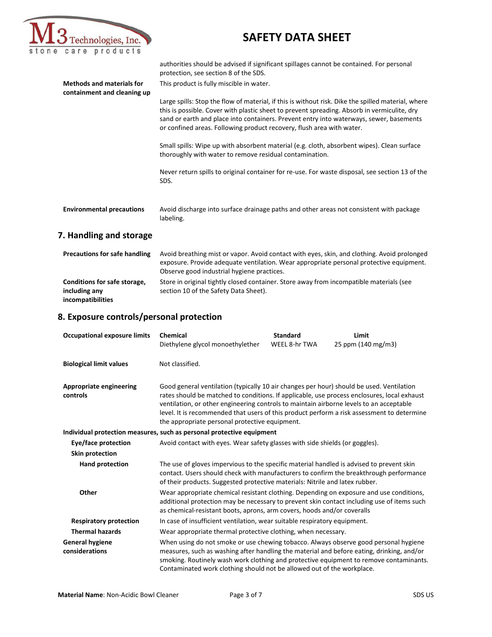

**Methods and materials for containment and cleaning up**

## **SAFETY DATA SHEET**

authorities should be advised if significant spillages cannot be contained. For personal protection, see section 8 of the SDS.

This product is fully miscible in water.

Large spills: Stop the flow of material, if this is without risk. Dike the spilled material, where this is possible. Cover with plastic sheet to prevent spreading. Absorb in vermiculite, dry sand or earth and place into containers. Prevent entry into waterways, sewer, basements or confined areas. Following product recovery, flush area with water.

Small spills: Wipe up with absorbent material (e.g. cloth, absorbent wipes). Clean surface thoroughly with water to remove residual contamination.

Never return spills to original container for re-use. For waste disposal, see section 13 of the SDS.

| <b>Environmental precautions</b> | Avoid discharge into surface drainage paths and other areas not consistent with package |
|----------------------------------|-----------------------------------------------------------------------------------------|
|                                  | labeling.                                                                               |

#### **7. Handling and storage**

| <b>Precautions for safe handling</b> | Avoid breathing mist or vapor. Avoid contact with eyes, skin, and clothing. Avoid prolonged |
|--------------------------------------|---------------------------------------------------------------------------------------------|
|                                      | exposure. Provide adequate ventilation. Wear appropriate personal protective equipment.     |
|                                      | Observe good industrial hygiene practices.                                                  |
| Conditions for safe storage,         | Store in original tightly closed container. Store away from incompatible materials (see     |
| including any                        | section 10 of the Safety Data Sheet).                                                       |
| incompatibilities                    |                                                                                             |

#### **8. Exposure controls/personal protection**

| <b>Occupational exposure limits</b>      | <b>Chemical</b><br>Diethylene glycol monoethylether                                                                                                                                                                                                                                                                                                                                                                                | <b>Standard</b><br>WEEL 8-hr TWA | Limit<br>25 ppm (140 mg/m3) |
|------------------------------------------|------------------------------------------------------------------------------------------------------------------------------------------------------------------------------------------------------------------------------------------------------------------------------------------------------------------------------------------------------------------------------------------------------------------------------------|----------------------------------|-----------------------------|
| <b>Biological limit values</b>           | Not classified.                                                                                                                                                                                                                                                                                                                                                                                                                    |                                  |                             |
| Appropriate engineering<br>controls      | Good general ventilation (typically 10 air changes per hour) should be used. Ventilation<br>rates should be matched to conditions. If applicable, use process enclosures, local exhaust<br>ventilation, or other engineering controls to maintain airborne levels to an acceptable<br>level. It is recommended that users of this product perform a risk assessment to determine<br>the appropriate personal protective equipment. |                                  |                             |
|                                          | Individual protection measures, such as personal protective equipment                                                                                                                                                                                                                                                                                                                                                              |                                  |                             |
| Eye/face protection                      | Avoid contact with eyes. Wear safety glasses with side shields (or goggles).                                                                                                                                                                                                                                                                                                                                                       |                                  |                             |
| Skin protection                          |                                                                                                                                                                                                                                                                                                                                                                                                                                    |                                  |                             |
| <b>Hand protection</b>                   | The use of gloves impervious to the specific material handled is advised to prevent skin<br>contact. Users should check with manufacturers to confirm the breakthrough performance<br>of their products. Suggested protective materials: Nitrile and latex rubber.                                                                                                                                                                 |                                  |                             |
| Other                                    | Wear appropriate chemical resistant clothing. Depending on exposure and use conditions,<br>additional protection may be necessary to prevent skin contact including use of items such<br>as chemical-resistant boots, aprons, arm covers, hoods and/or coveralls                                                                                                                                                                   |                                  |                             |
| <b>Respiratory protection</b>            | In case of insufficient ventilation, wear suitable respiratory equipment.                                                                                                                                                                                                                                                                                                                                                          |                                  |                             |
| <b>Thermal hazards</b>                   | Wear appropriate thermal protective clothing, when necessary.                                                                                                                                                                                                                                                                                                                                                                      |                                  |                             |
| <b>General hygiene</b><br>considerations | When using do not smoke or use chewing tobacco. Always observe good personal hygiene<br>measures, such as washing after handling the material and before eating, drinking, and/or<br>smoking. Routinely wash work clothing and protective equipment to remove contaminants.<br>Contaminated work clothing should not be allowed out of the workplace.                                                                              |                                  |                             |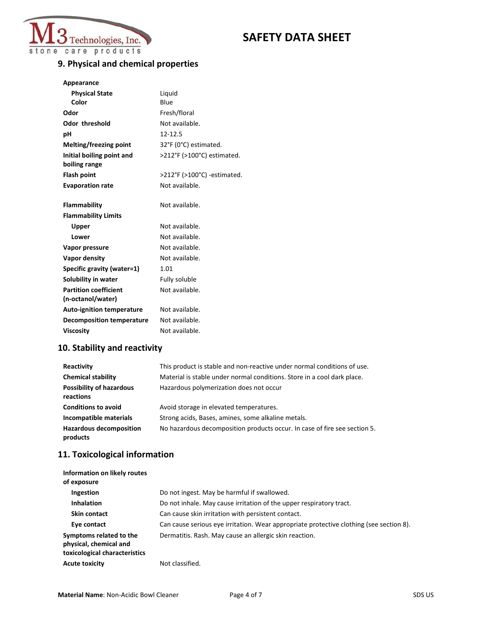

## **9. Physical and chemical properties**

| <b>Physical State</b>                      | Liquid                      |
|--------------------------------------------|-----------------------------|
| Color                                      | Blue                        |
| Odor                                       | Fresh/floral                |
| <b>Odor threshold</b>                      | Not available.              |
| рH                                         | 12-12.5                     |
| <b>Melting/freezing point</b>              | 32°F (0°C) estimated.       |
| Initial boiling point and<br>boiling range | >212°F (>100°C) estimated.  |
| <b>Flash point</b>                         | >212°F (>100°C) -estimated. |
| <b>Evaporation rate</b>                    | Not available.              |
|                                            |                             |
| <b>Flammability</b>                        | Not available.              |
| <b>Flammability Limits</b>                 |                             |
| Upper                                      | Not available.              |
| Lower                                      | Not available.              |
| Vapor pressure                             | Not available.              |
| Vapor density                              | Not available.              |
| Specific gravity (water=1)                 | 1.01                        |
| Solubility in water                        | Fully soluble               |
| <b>Partition coefficient</b>               | Not available.              |
| (n-octanol/water)                          |                             |
| <b>Auto-ignition temperature</b>           | Not available.              |
| <b>Decomposition temperature</b>           | Not available.              |
| Viscosity                                  | Not available.              |

## **10. Stability and reactivity**

| Reactivity                                   | This product is stable and non-reactive under normal conditions of use.   |
|----------------------------------------------|---------------------------------------------------------------------------|
| <b>Chemical stability</b>                    | Material is stable under normal conditions. Store in a cool dark place.   |
| <b>Possibility of hazardous</b><br>reactions | Hazardous polymerization does not occur                                   |
| <b>Conditions to avoid</b>                   | Avoid storage in elevated temperatures.                                   |
| Incompatible materials                       | Strong acids, Bases, amines, some alkaline metals.                        |
| <b>Hazardous decomposition</b><br>products   | No hazardous decomposition products occur. In case of fire see section 5. |

## **11. Toxicological information**

| Information on likely routes<br>of exposure                                        |                                                                                         |
|------------------------------------------------------------------------------------|-----------------------------------------------------------------------------------------|
| Ingestion                                                                          | Do not ingest. May be harmful if swallowed.                                             |
| <b>Inhalation</b>                                                                  | Do not inhale. May cause irritation of the upper respiratory tract.                     |
| <b>Skin contact</b>                                                                | Can cause skin irritation with persistent contact.                                      |
| Eye contact                                                                        | Can cause serious eye irritation. Wear appropriate protective clothing (see section 8). |
| Symptoms related to the<br>physical, chemical and<br>toxicological characteristics | Dermatitis. Rash. May cause an allergic skin reaction.                                  |
| <b>Acute toxicity</b>                                                              | Not classified.                                                                         |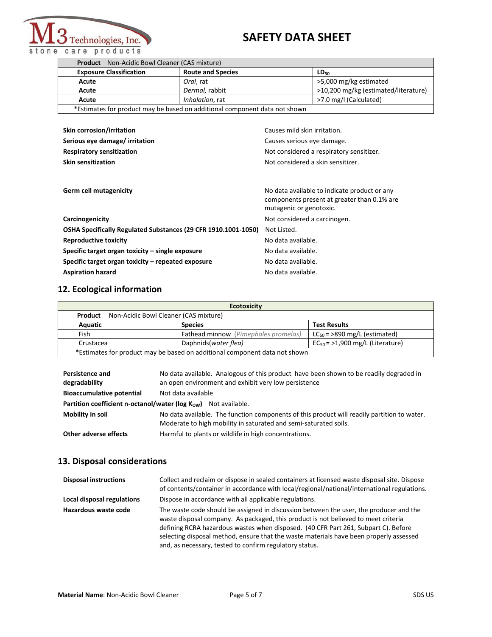

| <b>Product</b> Non-Acidic Bowl Cleaner (CAS mixture)                       |                          |                                      |
|----------------------------------------------------------------------------|--------------------------|--------------------------------------|
| <b>Exposure Classification</b>                                             | <b>Route and Species</b> | LD <sub>50</sub>                     |
| Acute                                                                      | Oral, rat                | >5,000 mg/kg estimated               |
| Acute                                                                      | Dermal, rabbit           | >10,200 mg/kg (estimated/literature) |
| Acute                                                                      | Inhalation, rat          | >7.0 mg/l (Calculated)               |
| *Estimates for product may be based on additional component data not shown |                          |                                      |
|                                                                            |                          |                                      |

| <b>Skin corrosion/irritation</b><br>Serious eye damage/ irritation<br><b>Respiratory sensitization</b><br><b>Skin sensitization</b> | Causes mild skin irritation.<br>Causes serious eye damage.<br>Not considered a respiratory sensitizer.<br>Not considered a skin sensitizer. |
|-------------------------------------------------------------------------------------------------------------------------------------|---------------------------------------------------------------------------------------------------------------------------------------------|
| Germ cell mutagenicity                                                                                                              | No data available to indicate product or any<br>components present at greater than 0.1% are<br>mutagenic or genotoxic.                      |
| Carcinogenicity                                                                                                                     | Not considered a carcinogen.                                                                                                                |
| OSHA Specifically Regulated Substances (29 CFR 1910.1001-1050)                                                                      | Not Listed.                                                                                                                                 |
| <b>Reproductive toxicity</b>                                                                                                        | No data available.                                                                                                                          |
| Specific target organ toxicity $-$ single exposure                                                                                  | No data available.                                                                                                                          |
| Specific target organ toxicity – repeated exposure                                                                                  | No data available.                                                                                                                          |
| <b>Aspiration hazard</b>                                                                                                            | No data available.                                                                                                                          |

## **12. Ecological information**

| <b>Ecotoxicity</b>                                                         |                                             |                                      |
|----------------------------------------------------------------------------|---------------------------------------------|--------------------------------------|
| <b>Product</b> Non-Acidic Bowl Cleaner (CAS mixture)                       |                                             |                                      |
| Aquatic                                                                    | <b>Species</b>                              | <b>Test Results</b>                  |
| Fish                                                                       | <b>Fathead minnow</b> (Pimephales promelas) | $LC_{50}$ = >890 mg/L (estimated)    |
| Crustacea                                                                  | Daphnids(water flea)                        | $EC_{50}$ = >1,900 mg/L (Literature) |
| *Estimates for product may be based on additional component data not shown |                                             |                                      |

| <b>Persistence and</b><br>degradability                                               | No data available. Analogous of this product have been shown to be readily degraded in<br>an open environment and exhibit very low persistence |
|---------------------------------------------------------------------------------------|------------------------------------------------------------------------------------------------------------------------------------------------|
|                                                                                       |                                                                                                                                                |
| <b>Bioaccumulative potential</b>                                                      | Not data available                                                                                                                             |
| <b>Partition coefficient n-octanol/water (log <math>K_{OW}</math>)</b> Not available. |                                                                                                                                                |
| Mobility in soil                                                                      | No data available. The function components of this product will readily partition to water.                                                    |
|                                                                                       | Moderate to high mobility in saturated and semi-saturated soils.                                                                               |
| Other adverse effects                                                                 | Harmful to plants or wildlife in high concentrations.                                                                                          |

## **13. Disposal considerations**

| <b>Disposal instructions</b> | Collect and reclaim or dispose in sealed containers at licensed waste disposal site. Dispose<br>of contents/container in accordance with local/regional/national/international regulations.                                                                                                                                                                                                                             |
|------------------------------|-------------------------------------------------------------------------------------------------------------------------------------------------------------------------------------------------------------------------------------------------------------------------------------------------------------------------------------------------------------------------------------------------------------------------|
| Local disposal regulations   | Dispose in accordance with all applicable regulations.                                                                                                                                                                                                                                                                                                                                                                  |
| Hazardous waste code         | The waste code should be assigned in discussion between the user, the producer and the<br>waste disposal company. As packaged, this product is not believed to meet criteria<br>defining RCRA hazardous wastes when disposed. (40 CFR Part 261, Subpart C). Before<br>selecting disposal method, ensure that the waste materials have been properly assessed<br>and, as necessary, tested to confirm regulatory status. |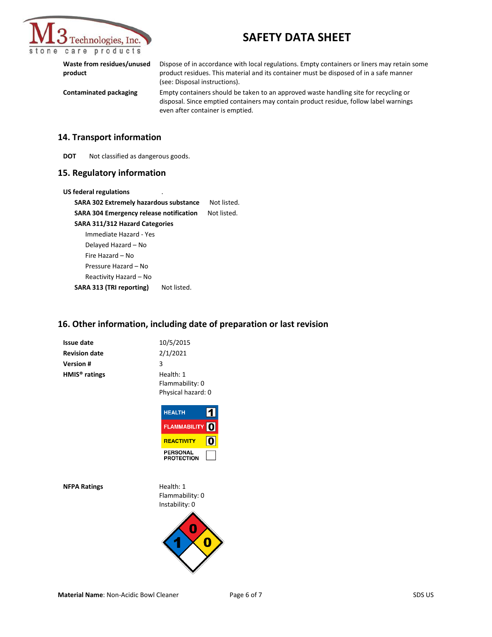

**Waste from residues/unused product** Dispose of in accordance with local regulations. Empty containers or liners may retain some product residues. This material and its container must be disposed of in a safe manner (see: Disposal instructions). **Contaminated packaging** Empty containers should be taken to an approved waste handling site for recycling or

disposal. Since emptied containers may contain product residue, follow label warnings even after container is emptied.

#### **14. Transport information**

**DOT** Not classified as dangerous goods.

#### **15. Regulatory information**

**US federal regulations** 

**SARA 302 Extremely hazardous substance** Not listed. SARA 304 Emergency release notification Not listed. **SARA 311/312 Hazard Categories** Immediate Hazard - Yes Delayed Hazard – No Fire Hazard – No Pressure Hazard – No Reactivity Hazard – No SARA 313 (TRI reporting) Not listed.

#### **16. Other information, including date of preparation or last revision**

| Issue date                | 10/5/2015          |
|---------------------------|--------------------|
| <b>Revision date</b>      | 2/1/2021           |
| Version #                 | 3                  |
| HMIS <sup>®</sup> ratings | Health: 1          |
|                           | Flammability: 0    |
|                           | Physical hazard: 0 |



**NFPA Ratings** Health: 1

Flammability: 0 Instability: 0